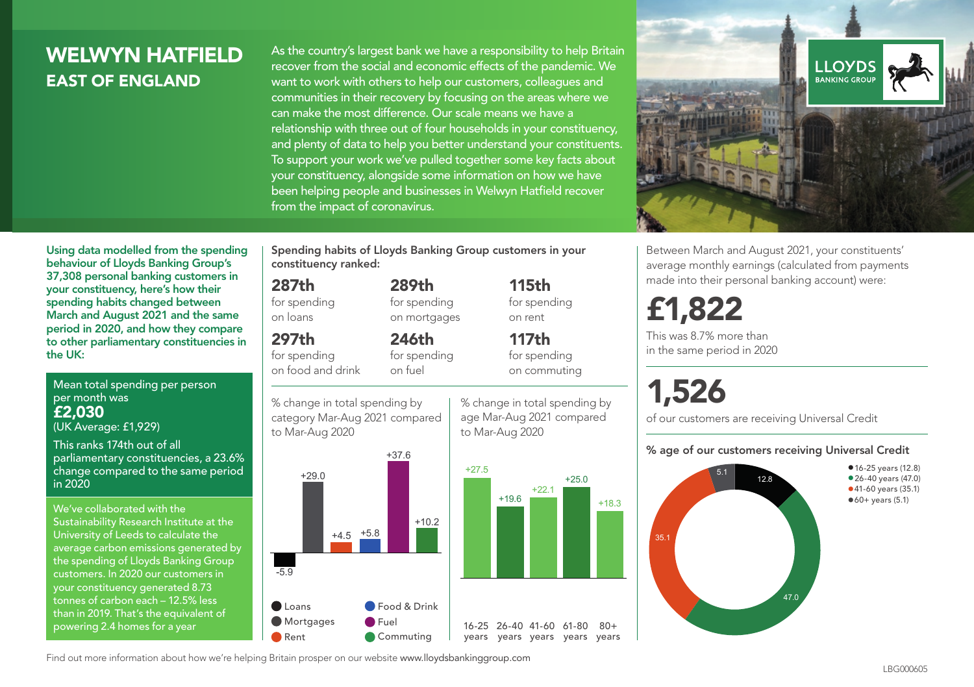## WEI WYN HATFIFI D EAST OF ENGLAND

As the country's largest bank we have a responsibility to help Britain recover from the social and economic effects of the pandemic. We want to work with others to help our customers, colleagues and communities in their recovery by focusing on the areas where we can make the most difference. Our scale means we have a relationship with three out of four households in your constituency, and plenty of data to help you better understand your constituents. To support your work we've pulled together some key facts about your constituency, alongside some information on how we have been helping people and businesses in Welwyn Hatfield recover from the impact of coronavirus.



Between March and August 2021, your constituents' average monthly earnings (calculated from payments made into their personal banking account) were:

## £1,822

This was 8.7% more than in the same period in 2020

# 1,526

of our customers are receiving Universal Credit

#### % age of our customers receiving Universal Credit



Using data modelled from the spending behaviour of Lloyds Banking Group's 37,308 personal banking customers in your constituency, here's how their spending habits changed between March and August 2021 and the same period in 2020, and how they compare to other parliamentary constituencies in the UK:

Mean total spending per person per month was £2,030

(UK Average: £1,929)

This ranks 174th out of all parliamentary constituencies, a 23.6% change compared to the same period in 2020

We've collaborated with the Sustainability Research Institute at the University of Leeds to calculate the average carbon emissions generated by the spending of Lloyds Banking Group customers. In 2020 our customers in your constituency generated 8.73 tonnes of carbon each – 12.5% less than in 2019. That's the equivalent of powering 2.4 homes for a year

Spending habits of Lloyds Banking Group customers in your constituency ranked:

> 289th for spending on mortgages

246th for spending on fuel

#### 287th

for spending on loans

### 297th

for spending on food and drink

% change in total spending by





to Mar-Aug 2020 category Mar-Aug 2021 compared

115th for spending on rent

117th for spending on commuting

+25.0

+18.3

 $80 +$ 

% change in total spending by age Mar-Aug 2021 compared